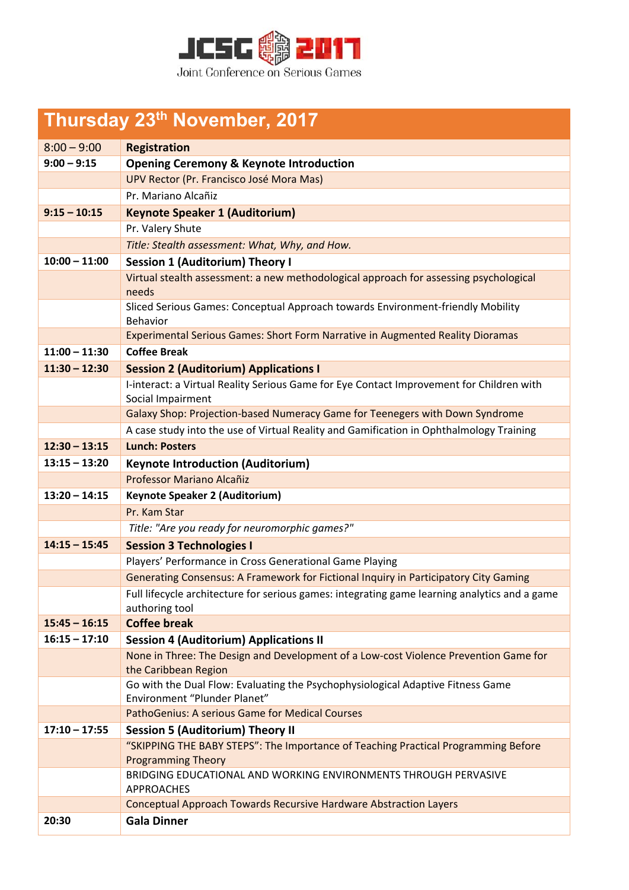

## **Thursday 23th November, 2017**

| $8:00 - 9:00$   | <b>Registration</b>                                                                                             |
|-----------------|-----------------------------------------------------------------------------------------------------------------|
| $9:00 - 9:15$   | <b>Opening Ceremony &amp; Keynote Introduction</b>                                                              |
|                 | UPV Rector (Pr. Francisco José Mora Mas)                                                                        |
|                 | Pr. Mariano Alcañiz                                                                                             |
| $9:15 - 10:15$  | <b>Keynote Speaker 1 (Auditorium)</b>                                                                           |
|                 | Pr. Valery Shute                                                                                                |
|                 | Title: Stealth assessment: What, Why, and How.                                                                  |
| $10:00 - 11:00$ | <b>Session 1 (Auditorium) Theory I</b>                                                                          |
|                 | Virtual stealth assessment: a new methodological approach for assessing psychological<br>needs                  |
|                 | Sliced Serious Games: Conceptual Approach towards Environment-friendly Mobility<br><b>Behavior</b>              |
|                 | Experimental Serious Games: Short Form Narrative in Augmented Reality Dioramas                                  |
| $11:00 - 11:30$ | <b>Coffee Break</b>                                                                                             |
| $11:30 - 12:30$ | <b>Session 2 (Auditorium) Applications I</b>                                                                    |
|                 | I-interact: a Virtual Reality Serious Game for Eye Contact Improvement for Children with<br>Social Impairment   |
|                 | Galaxy Shop: Projection-based Numeracy Game for Teenegers with Down Syndrome                                    |
|                 | A case study into the use of Virtual Reality and Gamification in Ophthalmology Training                         |
| $12:30 - 13:15$ | <b>Lunch: Posters</b>                                                                                           |
| $13:15 - 13:20$ | <b>Keynote Introduction (Auditorium)</b>                                                                        |
|                 | Professor Mariano Alcañiz                                                                                       |
| $13:20 - 14:15$ | <b>Keynote Speaker 2 (Auditorium)</b>                                                                           |
|                 | Pr. Kam Star                                                                                                    |
|                 | Title: "Are you ready for neuromorphic games?"                                                                  |
| $14:15 - 15:45$ | <b>Session 3 Technologies I</b>                                                                                 |
|                 | Players' Performance in Cross Generational Game Playing                                                         |
|                 | Generating Consensus: A Framework for Fictional Inquiry in Participatory City Gaming                            |
|                 | Full lifecycle architecture for serious games: integrating game learning analytics and a game<br>authoring tool |
| $15:45 - 16:15$ | <b>Coffee break</b>                                                                                             |
| $16:15 - 17:10$ | <b>Session 4 (Auditorium) Applications II</b>                                                                   |
|                 | None in Three: The Design and Development of a Low-cost Violence Prevention Game for<br>the Caribbean Region    |
|                 | Go with the Dual Flow: Evaluating the Psychophysiological Adaptive Fitness Game                                 |
|                 | Environment "Plunder Planet"                                                                                    |
|                 | PathoGenius: A serious Game for Medical Courses                                                                 |
| $17:10 - 17:55$ | <b>Session 5 (Auditorium) Theory II</b>                                                                         |
|                 | "SKIPPING THE BABY STEPS": The Importance of Teaching Practical Programming Before<br><b>Programming Theory</b> |
|                 | BRIDGING EDUCATIONAL AND WORKING ENVIRONMENTS THROUGH PERVASIVE<br><b>APPROACHES</b>                            |
|                 | <b>Conceptual Approach Towards Recursive Hardware Abstraction Layers</b>                                        |
| 20:30           | <b>Gala Dinner</b>                                                                                              |